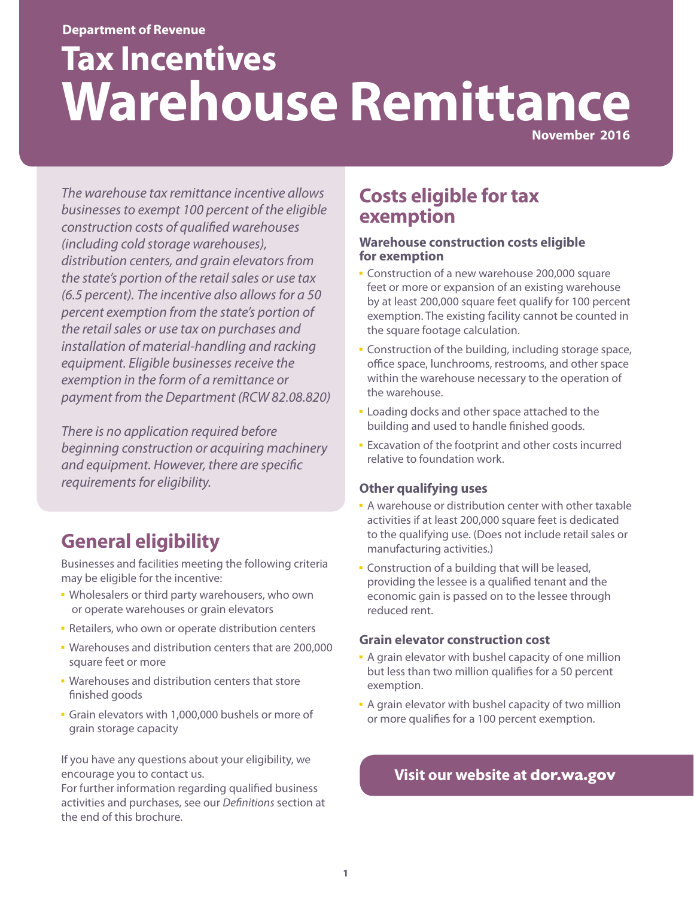#### **Department of Revenue**

# **Tax Incentives Warehouse Remittance**

**November 2016**

*The warehouse tax remittance incentive allows businesses to exempt 100 percent of the eligible construction costs of qualified warehouses (including cold storage warehouses), distribution centers, and grain elevators from the state's portion of the retail sales or use tax (6.5 percent). The incentive also allows for a 50 percent exemption from the state's portion of the retail sales or use tax on purchases and installation of material-handling and racking equipment. Eligible businesses receive the exemption in the form of a remittance or payment from the Department (RCW 82.08.820)* 

*There is no application required before beginning construction or acquiring machinery and equipment. However, there are specific requirements for eligibility.* 

# **General eligibility**

Businesses and facilities meeting the following criteria may be eligible for the incentive:

- **.** Wholesalers or third party warehousers, who own or operate warehouses or grain elevators
- **· Retailers, who own or operate distribution centers**
- Warehouses and distribution centers that are 200,000 square feet or more
- **· Warehouses and distribution centers that store** finished goods
- **·** Grain elevators with 1,000,000 bushels or more of grain storage capacity

If you have any questions about your eligibility, we encourage you to contact us.

For further information regarding qualified business activities and purchases, see our *Definitions* section at the end of this brochure.

## **Costs eligible for tax exemption**

#### **Warehouse construction costs eligible for exemption**

- **EX Construction of a new warehouse 200,000 square** feet or more or expansion of an existing warehouse by at least 200,000 square feet qualify for 100 percent exemption. The existing facility cannot be counted in the square footage calculation.
- **EX Construction of the building, including storage space,** office space, lunchrooms, restrooms, and other space within the warehouse necessary to the operation of the warehouse.
- **Example 2** Loading docks and other space attached to the building and used to handle finished goods.
- **Excavation of the footprint and other costs incurred** relative to foundation work.

#### **Other qualifying uses**

- A warehouse or distribution center with other taxable activities if at least 200,000 square feet is dedicated to the qualifying use. (Does not include retail sales or manufacturing activities.)
- **EX Construction of a building that will be leased,** providing the lessee is a qualified tenant and the economic gain is passed on to the lessee through reduced rent.

#### **Grain elevator construction cost**

- **A grain elevator with bushel capacity of one million** but less than two million qualifies for a 50 percent exemption.
- **A grain elevator with bushel capacity of two million** or more qualifies for a 100 percent exemption.

## **Visit our website at [dor.wa.gov](http://dor.wa.gov)**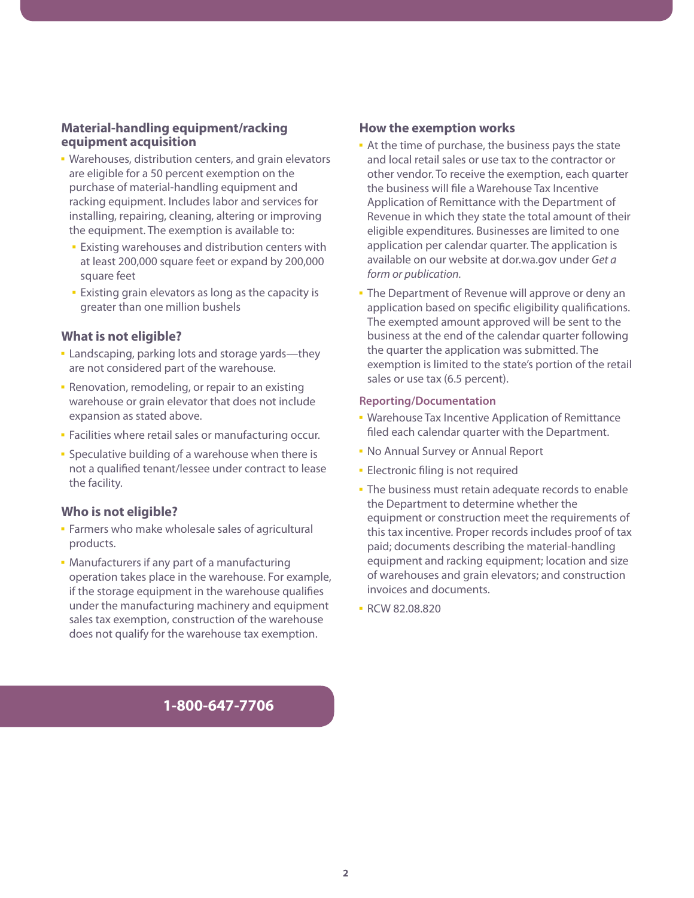#### **Material-handling equipment/racking equipment acquisition**

- Warehouses, distribution centers, and grain elevators are eligible for a 50 percent exemption on the purchase of material-handling equipment and racking equipment. Includes labor and services for installing, repairing, cleaning, altering or improving the equipment. The exemption is available to:
	- **Existing warehouses and distribution centers with** at least 200,000 square feet or expand by 200,000 square feet
	- **Existing grain elevators as long as the capacity is** greater than one million bushels

#### **What is not eligible?**

- **Example 2** Landscaping, parking lots and storage yards—they are not considered part of the warehouse.
- **· Renovation, remodeling, or repair to an existing** warehouse or grain elevator that does not include expansion as stated above.
- **Eacilities where retail sales or manufacturing occur.**
- **Speculative building of a warehouse when there is** not a qualified tenant/lessee under contract to lease the facility.

#### **Who is not eligible?**

- **EXECUTE:** Farmers who make wholesale sales of agricultural products.
- **Manufacturers if any part of a manufacturing** operation takes place in the warehouse. For example, if the storage equipment in the warehouse qualifies under the manufacturing machinery and equipment sales tax exemption, construction of the warehouse does not qualify for the warehouse tax exemption.

#### **How the exemption works**

- **At the time of purchase, the business pays the state** and local retail sales or use tax to the contractor or other vendor. To receive the exemption, each quarter the business will file a Warehouse Tax Incentive Application of Remittance with the Department of Revenue in which they state the total amount of their eligible expenditures. Businesses are limited to one application per calendar quarter. The application is available on our website at dor.wa.gov under *Get a form or publication.*
- **The Department of Revenue will approve or deny an** application based on specific eligibility qualifications. The exempted amount approved will be sent to the business at the end of the calendar quarter following the quarter the application was submitted. The exemption is limited to the state's portion of the retail sales or use tax (6.5 percent).

#### **Reporting/Documentation**

- **· Warehouse Tax Incentive Application of Remittance** filed each calendar quarter with the Department.
- **No Annual Survey or Annual Report**
- **Electronic filing is not required**
- **· The business must retain adequate records to enable** the Department to determine whether the equipment or construction meet the requirements of this tax incentive. Proper records includes proof of tax paid; documents describing the material-handling equipment and racking equipment; location and size of warehouses and grain elevators; and construction invoices and documents.
- RCW 82.08.820

#### **1-800-647-7706**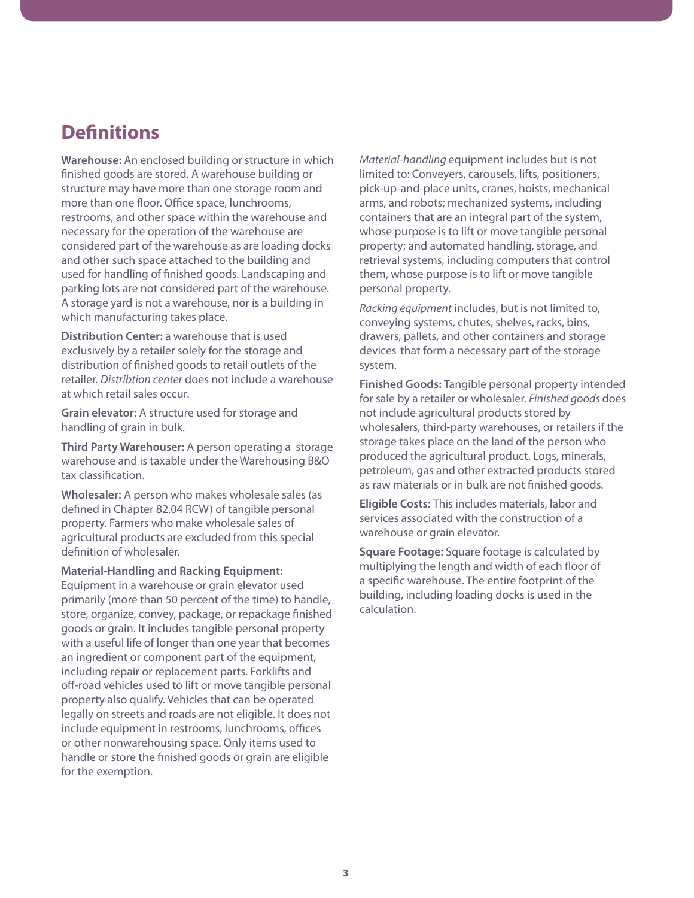## **Definitions**

**Warehouse:** An enclosed building or structure in which finished goods are stored. A warehouse building or structure may have more than one storage room and more than one floor. Office space, lunchrooms, restrooms, and other space within the warehouse and necessary for the operation of the warehouse are considered part of the warehouse as are loading docks and other such space attached to the building and used for handling of finished goods. Landscaping and parking lots are not considered part of the warehouse. A storage yard is not a warehouse, nor is a building in which manufacturing takes place.

**Distribution Center:** a warehouse that is used exclusively by a retailer solely for the storage and distribution of finished goods to retail outlets of the retailer. *Distribtion center* does not include a warehouse at which retail sales occur.

**Grain elevator:** A structure used for storage and handling of grain in bulk.

**Third Party Warehouser:** A person operating a storage warehouse and is taxable under the Warehousing B&O tax classification.

**Wholesaler:** A person who makes wholesale sales (as defined in Chapter 82.04 RCW) of tangible personal property. Farmers who make wholesale sales of agricultural products are excluded from this special definition of wholesaler.

**Material-Handling and Racking Equipment:**  Equipment in a warehouse or grain elevator used primarily (more than 50 percent of the time) to handle, store, organize, convey, package, or repackage finished goods or grain. It includes tangible personal property with a useful life of longer than one year that becomes an ingredient or component part of the equipment, including repair or replacement parts. Forklifts and off-road vehicles used to lift or move tangible personal property also qualify. Vehicles that can be operated legally on streets and roads are not eligible. It does not include equipment in restrooms, lunchrooms, offices or other nonwarehousing space. Only items used to handle or store the finished goods or grain are eligible for the exemption.

*Material-handling* equipment includes but is not limited to: Conveyers, carousels, lifts, positioners, pick-up-and-place units, cranes, hoists, mechanical arms, and robots; mechanized systems, including containers that are an integral part of the system, whose purpose is to lift or move tangible personal property; and automated handling, storage, and retrieval systems, including computers that control them, whose purpose is to lift or move tangible personal property.

*Racking equipment* includes, but is not limited to, conveying systems, chutes, shelves, racks, bins, drawers, pallets, and other containers and storage devices that form a necessary part of the storage system.

**Finished Goods:** Tangible personal property intended for sale by a retailer or wholesaler. *Finished goods* does not include agricultural products stored by wholesalers, third-party warehouses, or retailers if the storage takes place on the land of the person who produced the agricultural product. Logs, minerals, petroleum, gas and other extracted products stored as raw materials or in bulk are not finished goods.

**Eligible Costs:** This includes materials, labor and services associated with the construction of a warehouse or grain elevator.

**Square Footage:** Square footage is calculated by multiplying the length and width of each floor of a specific warehouse. The entire footprint of the building, including loading docks is used in the calculation.